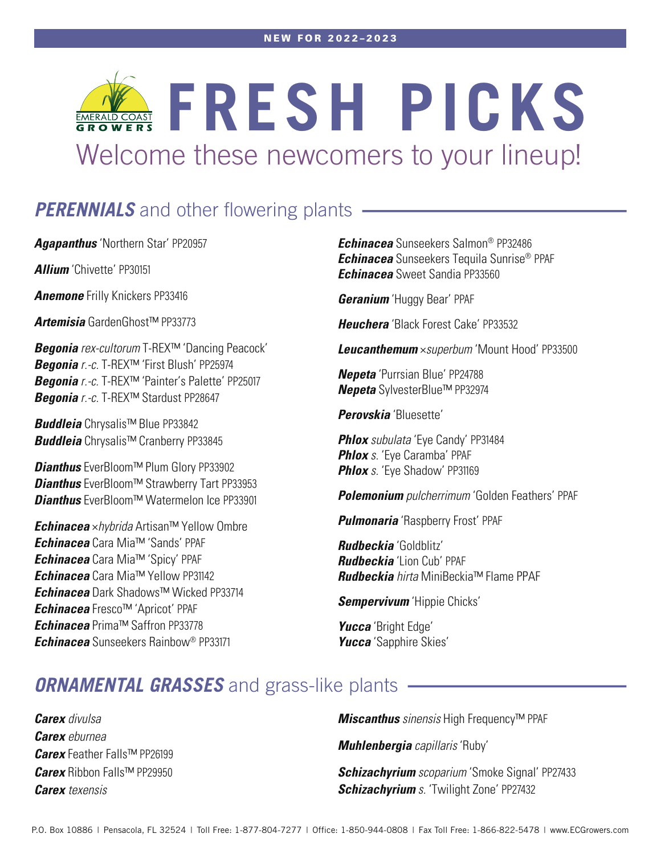# FRESH PICKS Welcome these newcomers to your lineup!

### **PERENNIALS** and other flowering plants -

**Agapanthus** 'Northern Star' PP20957

**Allium** 'Chivette' PP30151

**Anemone** Frilly Knickers PP33416

**Artemisia** GardenGhost™ PP33773

**Begonia** rex-cultorum T-REX™ 'Dancing Peacock' **Begonia** r.-c. T-REX™ 'First Blush' PP25974 **Begonia** r.-c. T-REX<sup>™</sup> 'Painter's Palette' PP25017 **Begonia** r.-c. T-REX™ Stardust PP28647

**Buddleia** Chrysalis™ Blue PP33842 **Buddleia** Chrysalis™ Cranberry PP33845

**Dianthus** EverBloom™ Plum Glory PP33902 **Dianthus** EverBloom™ Strawberry Tart PP33953 **Dianthus** EverBloom™ Watermelon Ice PP33901

**Echinacea** ×hybrida Artisan™ Yellow Ombre **Echinacea** Cara Mia™ 'Sands' PPAF **Echinacea** Cara Mia™ 'Spicy' PPAF **Echinacea** Cara Mia™ Yellow PP31142 **Echinacea** Dark Shadows™ Wicked PP33714 **Echinacea** Fresco™ 'Apricot' PPAF **Echinacea** Prima™ Saffron PP33778 **Echinacea** Sunseekers Rainbow® PP33171

**Echinacea** Sunseekers Salmon® PP32486 **Echinacea** Sunseekers Tequila Sunrise® PPAF **Echinacea** Sweet Sandia PP33560

**Geranium** 'Huggy Bear' PPAF

**Heuchera** 'Black Forest Cake' PP33532

**Leucanthemum** ×superbum 'Mount Hood' PP33500

**Nepeta** 'Purrsian Blue' PP24788 **Nepeta** SylvesterBlue™ PP32974

**Perovskia** 'Bluesette'

**Phlox** subulata 'Eye Candy' PP31484 **Phlox** s. 'Eye Caramba' PPAF **Phlox** s. 'Eye Shadow' PP31169

**Polemonium** pulcherrimum 'Golden Feathers' PPAF

**Pulmonaria** 'Raspberry Frost' PPAF

**Rudbeckia** 'Goldblitz' **Rudbeckia** 'Lion Cub' PPAF **Rudbeckia** hirta MiniBeckia™ Flame PPAF

**Sempervivum** 'Hippie Chicks'

**Yucca** 'Bright Edge' **Yucca** 'Sapphire Skies'

### **ORNAMENTAL GRASSES** and grass-like plants .

**Carex** divulsa **Carex** eburnea **Carex** Feather Falls™ PP26199 **Carex** Ribbon Falls™ PP29950 **Carex** texensis

**Miscanthus** sinensis High Frequency™ PPAF

**Muhlenbergia** capillaris 'Ruby'

**Schizachyrium** scoparium 'Smoke Signal' PP27433 **Schizachyrium** s. 'Twilight Zone' PP27432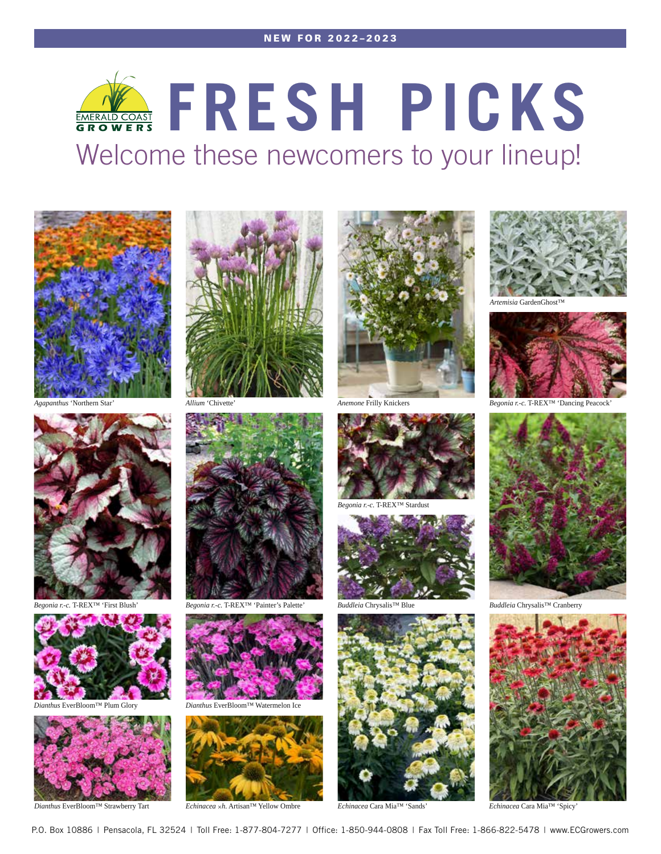### **FRESH PICKS** Welcome these newcomers to your lineup!



*Agapanthus* 'Northern Star'



*Begonia r.-c.* T-REX™ 'First Blush'









*Begonia r.-c.* T-REX™ 'Painter's Palette' *Buddleia* Chrysalis™ Blue *Buddleia* Chrysalis™ Cranberry



*Dianthus* EverBloom™ Plum Glory *Dianthus* EverBloom™ Watermelon Ice



*Dianthus* EverBloom™ Strawberry Tart *Echinacea* ×*h.* Artisan™ Yellow Ombre *Echinacea* Cara Mia™ 'Sands' *Echinacea* Cara Mia™ 'Spicy'



**Frilly Knicker** 



*Begonia r.-c.* T-REX™ Stardust







*Artemisia* GardenGhost™



**Dancing Peacock'** 



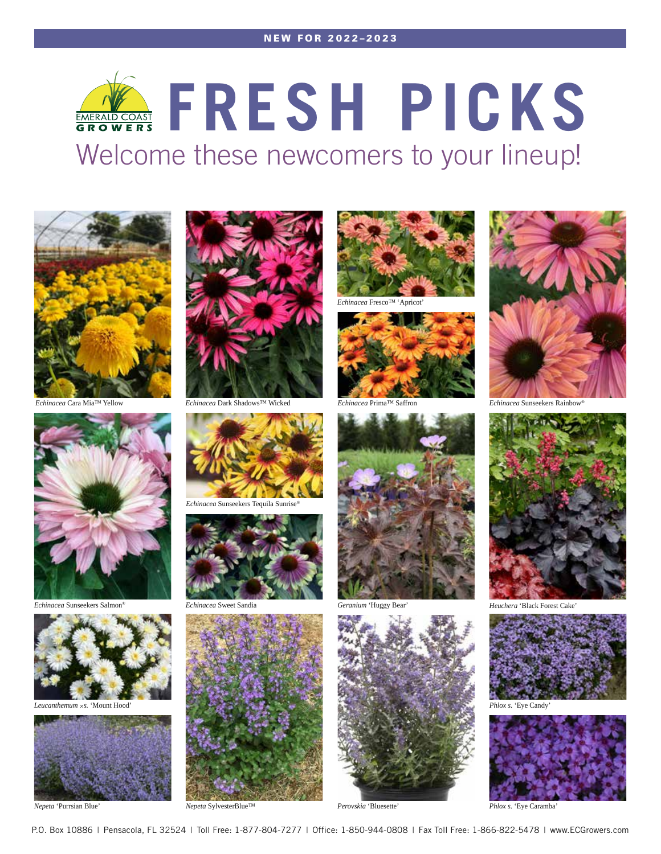#### NEW FOR 2022–2023

# **FRESH PICKS** Welcome these newcomers to your lineup!





*Echinacea* Sunseekers Salmon® *Echinacea* Sweet Sandia *Geranium* 'Huggy Bear'



*Leucanthemum* ×*s.* 'Mount Hood'



*Nepeta* 'Purrsian Blue'



*Echinacea* Cara Mia™ Yellow *Echinacea* Prima™ Saffron *Echinacea* Dark Shadows™ Wicked *Echinacea* Sunseekers Rainbow®









*Echinacea* Fresco™ 'Apricot'











*Heuchera* 'Black Forest Cake'



**Phlox s. 'Eye Candy**